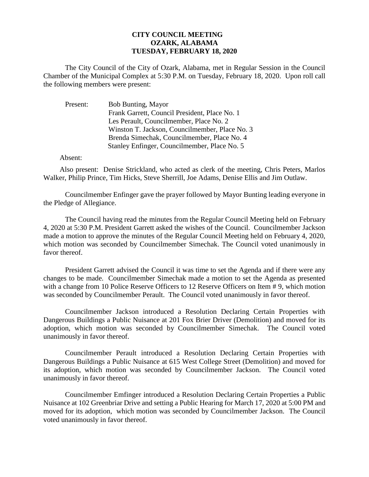## **CITY COUNCIL MEETING OZARK, ALABAMA TUESDAY, FEBRUARY 18, 2020**

The City Council of the City of Ozark, Alabama, met in Regular Session in the Council Chamber of the Municipal Complex at 5:30 P.M. on Tuesday, February 18, 2020. Upon roll call the following members were present:

Present: Bob Bunting, Mayor Frank Garrett, Council President, Place No. 1 Les Perault, Councilmember, Place No. 2 Winston T. Jackson, Councilmember, Place No. 3 Brenda Simechak, Councilmember, Place No. 4 Stanley Enfinger, Councilmember, Place No. 5

## Absent:

Also present: Denise Strickland, who acted as clerk of the meeting, Chris Peters, Marlos Walker, Philip Prince, Tim Hicks, Steve Sherrill, Joe Adams, Denise Ellis and Jim Outlaw.

Councilmember Enfinger gave the prayer followed by Mayor Bunting leading everyone in the Pledge of Allegiance.

The Council having read the minutes from the Regular Council Meeting held on February 4, 2020 at 5:30 P.M. President Garrett asked the wishes of the Council. Councilmember Jackson made a motion to approve the minutes of the Regular Council Meeting held on February 4, 2020, which motion was seconded by Councilmember Simechak. The Council voted unanimously in favor thereof.

President Garrett advised the Council it was time to set the Agenda and if there were any changes to be made. Councilmember Simechak made a motion to set the Agenda as presented with a change from 10 Police Reserve Officers to 12 Reserve Officers on Item # 9, which motion was seconded by Councilmember Perault. The Council voted unanimously in favor thereof.

Councilmember Jackson introduced a Resolution Declaring Certain Properties with Dangerous Buildings a Public Nuisance at 201 Fox Brier Driver (Demolition) and moved for its adoption, which motion was seconded by Councilmember Simechak. The Council voted unanimously in favor thereof.

Councilmember Perault introduced a Resolution Declaring Certain Properties with Dangerous Buildings a Public Nuisance at 615 West College Street (Demolition) and moved for its adoption, which motion was seconded by Councilmember Jackson. The Council voted unanimously in favor thereof.

Councilmember Emfinger introduced a Resolution Declaring Certain Properties a Public Nuisance at 102 Greenbriar Drive and setting a Public Hearing for March 17, 2020 at 5:00 PM and moved for its adoption, which motion was seconded by Councilmember Jackson. The Council voted unanimously in favor thereof.